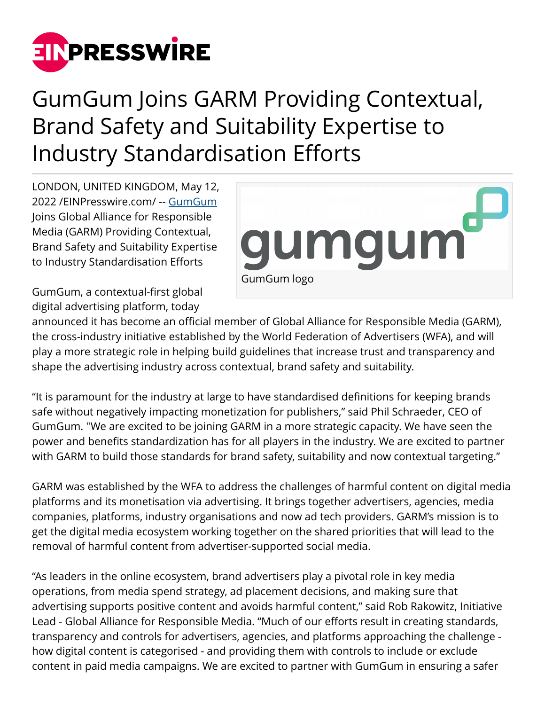

## GumGum Joins GARM Providing Contextual, Brand Safety and Suitability Expertise to Industry Standardisation Efforts

LONDON, UNITED KINGDOM, May 12, 2022 /[EINPresswire.com](http://www.einpresswire.com)/ -- [GumGum](http://gumgum.com) Joins Global Alliance for Responsible Media (GARM) Providing Contextual, Brand Safety and Suitability Expertise to Industry Standardisation Efforts



GumGum, a contextual-first global digital advertising platform, today

announced it has become an official member of Global Alliance for Responsible Media (GARM), the cross-industry initiative established by the World Federation of Advertisers (WFA), and will play a more strategic role in helping build guidelines that increase trust and transparency and shape the advertising industry across contextual, brand safety and suitability.

"It is paramount for the industry at large to have standardised definitions for keeping brands safe without negatively impacting monetization for publishers," said Phil Schraeder, CEO of GumGum. "We are excited to be joining GARM in a more strategic capacity. We have seen the power and benefits standardization has for all players in the industry. We are excited to partner with GARM to build those standards for brand safety, suitability and now contextual targeting."

GARM was established by the WFA to address the challenges of harmful content on digital media platforms and its monetisation via advertising. It brings together advertisers, agencies, media companies, platforms, industry organisations and now ad tech providers. GARM's mission is to get the digital media ecosystem working together on the shared priorities that will lead to the removal of harmful content from advertiser-supported social media.

"As leaders in the online ecosystem, brand advertisers play a pivotal role in key media operations, from media spend strategy, ad placement decisions, and making sure that advertising supports positive content and avoids harmful content," said Rob Rakowitz, Initiative Lead - Global Alliance for Responsible Media. "Much of our efforts result in creating standards, transparency and controls for advertisers, agencies, and platforms approaching the challenge how digital content is categorised - and providing them with controls to include or exclude content in paid media campaigns. We are excited to partner with GumGum in ensuring a safer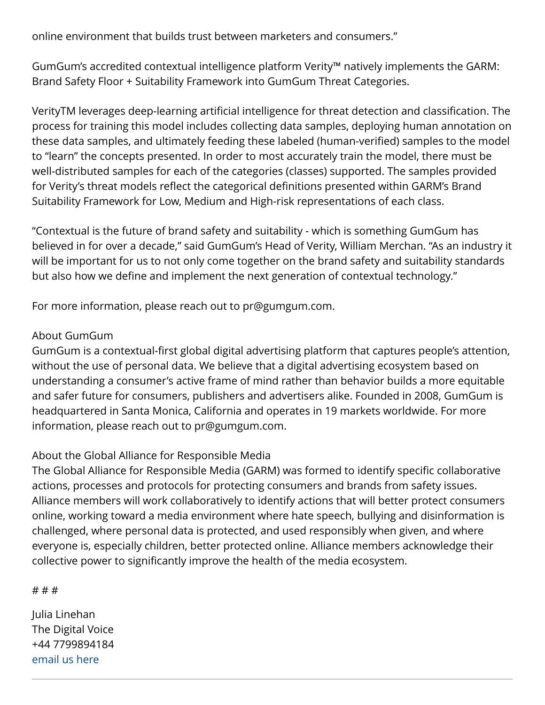online environment that builds trust between marketers and consumers."

GumGum's accredited contextual intelligence platform Verity™ natively implements the GARM: Brand Safety Floor + Suitability Framework into GumGum Threat Categories.

VerityTM leverages deep-learning artificial intelligence for threat detection and classification. The process for training this model includes collecting data samples, deploying human annotation on these data samples, and ultimately feeding these labeled (human-verified) samples to the model to "learn" the concepts presented. In order to most accurately train the model, there must be well-distributed samples for each of the categories (classes) supported. The samples provided for Verity's threat models reflect the categorical definitions presented within GARM's Brand Suitability Framework for Low, Medium and High-risk representations of each class.

"Contextual is the future of brand safety and suitability - which is something GumGum has believed in for over a decade," said GumGum's Head of Verity, William Merchan. "As an industry it will be important for us to not only come together on the brand safety and suitability standards but also how we define and implement the next generation of contextual technology."

For more information, please reach out to pr@gumgum.com.

## About GumGum

GumGum is a contextual-first global digital advertising platform that captures people's attention, without the use of personal data. We believe that a digital advertising ecosystem based on understanding a consumer's active frame of mind rather than behavior builds a more equitable and safer future for consumers, publishers and advertisers alike. Founded in 2008, GumGum is headquartered in Santa Monica, California and operates in 19 markets worldwide. For more information, please reach out to pr@gumgum.com.

## About the Global Alliance for Responsible Media

The Global Alliance for Responsible Media (GARM) was formed to identify specific collaborative actions, processes and protocols for protecting consumers and brands from safety issues. Alliance members will work collaboratively to identify actions that will better protect consumers online, working toward a media environment where hate speech, bullying and disinformation is challenged, where personal data is protected, and used responsibly when given, and where everyone is, especially children, better protected online. Alliance members acknowledge their collective power to significantly improve the health of the media ecosystem.

## # # #

Julia Linehan The Digital Voice +44 7799894184 [email us here](http://www.einpresswire.com/contact_author/3483304)